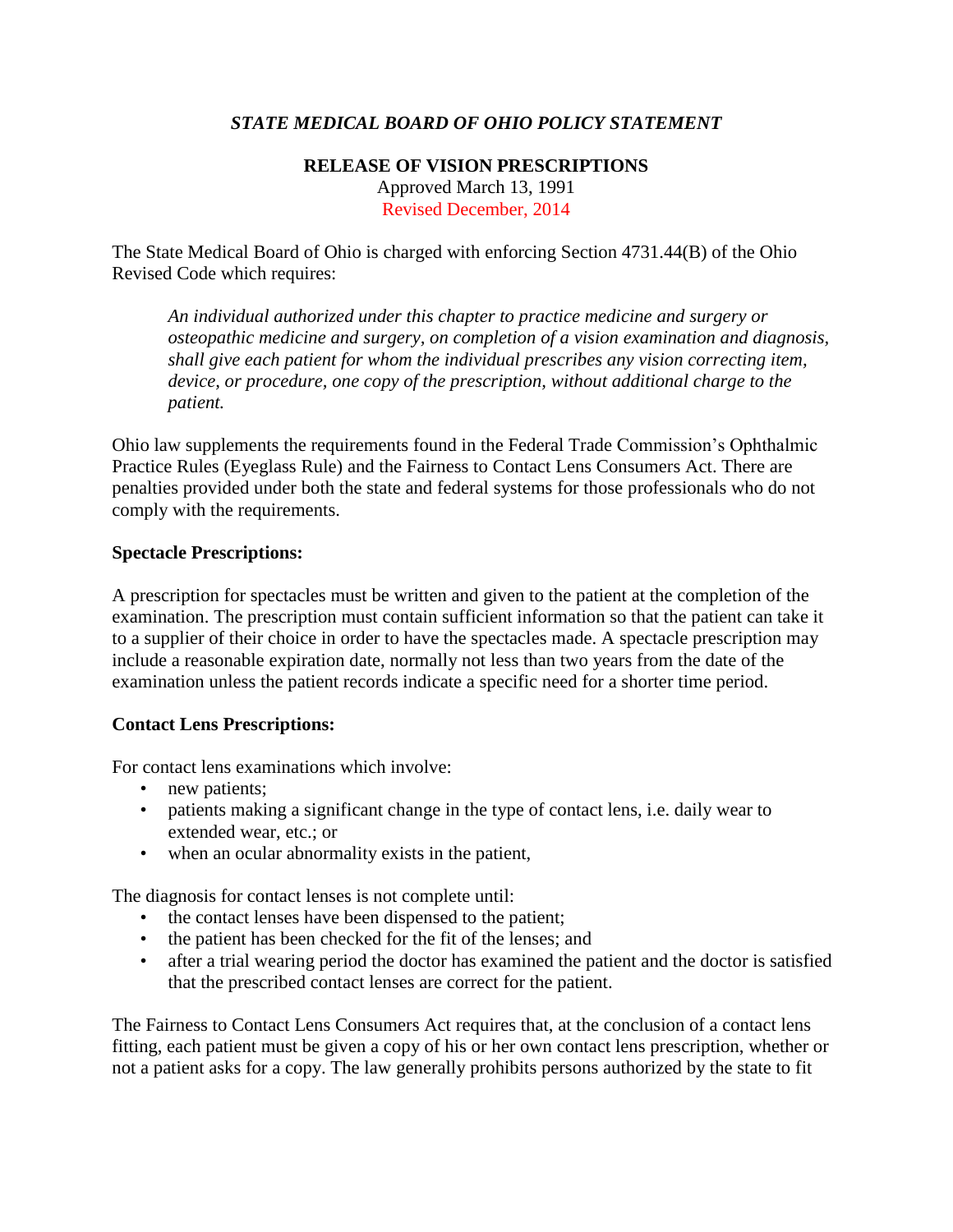## *STATE MEDICAL BOARD OF OHIO POLICY STATEMENT*

## **RELEASE OF VISION PRESCRIPTIONS** Approved March 13, 1991 Revised December, 2014

The State Medical Board of Ohio is charged with enforcing Section 4731.44(B) of the Ohio Revised Code which requires:

*An individual authorized under this chapter to practice medicine and surgery or osteopathic medicine and surgery, on completion of a vision examination and diagnosis, shall give each patient for whom the individual prescribes any vision correcting item, device, or procedure, one copy of the prescription, without additional charge to the patient.*

Ohio law supplements the requirements found in the Federal Trade Commission's Ophthalmic Practice Rules (Eyeglass Rule) and the Fairness to Contact Lens Consumers Act. There are penalties provided under both the state and federal systems for those professionals who do not comply with the requirements.

## **Spectacle Prescriptions:**

A prescription for spectacles must be written and given to the patient at the completion of the examination. The prescription must contain sufficient information so that the patient can take it to a supplier of their choice in order to have the spectacles made. A spectacle prescription may include a reasonable expiration date, normally not less than two years from the date of the examination unless the patient records indicate a specific need for a shorter time period.

## **Contact Lens Prescriptions:**

For contact lens examinations which involve:

- new patients;
- patients making a significant change in the type of contact lens, i.e. daily wear to extended wear, etc.; or
- when an ocular abnormality exists in the patient,

The diagnosis for contact lenses is not complete until:

- the contact lenses have been dispensed to the patient;
- the patient has been checked for the fit of the lenses; and
- after a trial wearing period the doctor has examined the patient and the doctor is satisfied that the prescribed contact lenses are correct for the patient.

The Fairness to Contact Lens Consumers Act requires that, at the conclusion of a contact lens fitting, each patient must be given a copy of his or her own contact lens prescription, whether or not a patient asks for a copy. The law generally prohibits persons authorized by the state to fit